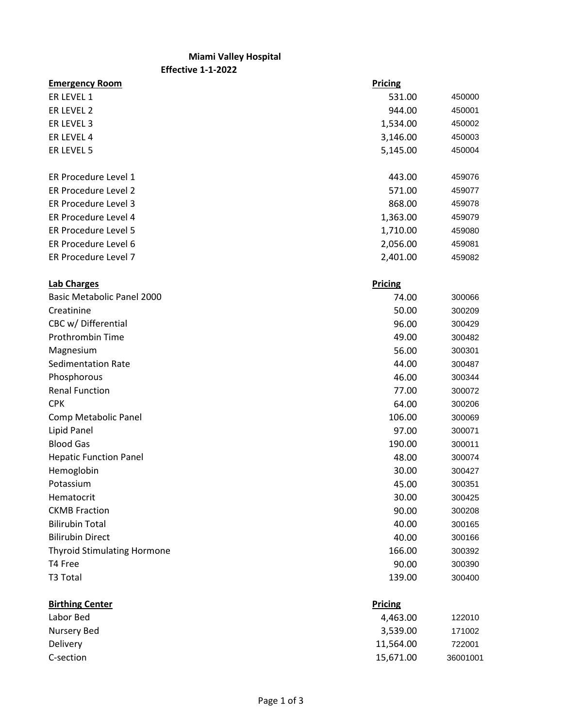## **Miami Valley Hospital**

**Effective 1-1-2022**

| <b>Emergency Room</b>              | <b>Pricing</b> |        |
|------------------------------------|----------------|--------|
| ER LEVEL 1                         | 531.00         | 450000 |
| ER LEVEL 2                         | 944.00         | 450001 |
| ER LEVEL 3                         | 1,534.00       | 450002 |
| ER LEVEL 4                         | 3,146.00       | 450003 |
| ER LEVEL 5                         | 5,145.00       | 450004 |
| ER Procedure Level 1               | 443.00         | 459076 |
| ER Procedure Level 2               | 571.00         | 459077 |
| ER Procedure Level 3               | 868.00         | 459078 |
| ER Procedure Level 4               | 1,363.00       | 459079 |
| ER Procedure Level 5               | 1,710.00       | 459080 |
| ER Procedure Level 6               | 2,056.00       | 459081 |
| ER Procedure Level 7               | 2,401.00       | 459082 |
| <b>Lab Charges</b>                 | <b>Pricing</b> |        |
| Basic Metabolic Panel 2000         | 74.00          | 300066 |
| Creatinine                         | 50.00          | 300209 |
| CBC w/ Differential                | 96.00          | 300429 |
| Prothrombin Time                   | 49.00          | 300482 |
| Magnesium                          | 56.00          | 300301 |
| <b>Sedimentation Rate</b>          | 44.00          | 300487 |
| Phosphorous                        | 46.00          | 300344 |
| <b>Renal Function</b>              | 77.00          | 300072 |
| <b>CPK</b>                         | 64.00          | 300206 |
| Comp Metabolic Panel               | 106.00         | 300069 |
| Lipid Panel                        | 97.00          | 300071 |
| <b>Blood Gas</b>                   | 190.00         | 300011 |
| <b>Hepatic Function Panel</b>      | 48.00          | 300074 |
| Hemoglobin                         | 30.00          | 300427 |
| Potassium                          | 45.00          | 300351 |
| Hematocrit                         | 30.00          | 300425 |
| <b>CKMB Fraction</b>               | 90.00          | 300208 |
| <b>Bilirubin Total</b>             | 40.00          | 300165 |
| <b>Bilirubin Direct</b>            | 40.00          | 300166 |
| <b>Thyroid Stimulating Hormone</b> | 166.00         | 300392 |
| T4 Free                            | 90.00          | 300390 |
| T3 Total                           | 139.00         | 300400 |
| <b>Birthing Center</b>             | <b>Pricing</b> |        |
| Labor Bed                          | 4,463.00       | 122010 |
| <b>Nursery Bed</b>                 | 3,539.00       | 171002 |
| Delivery                           | 11,564.00      | 722001 |

C-section 15,671.00 36001001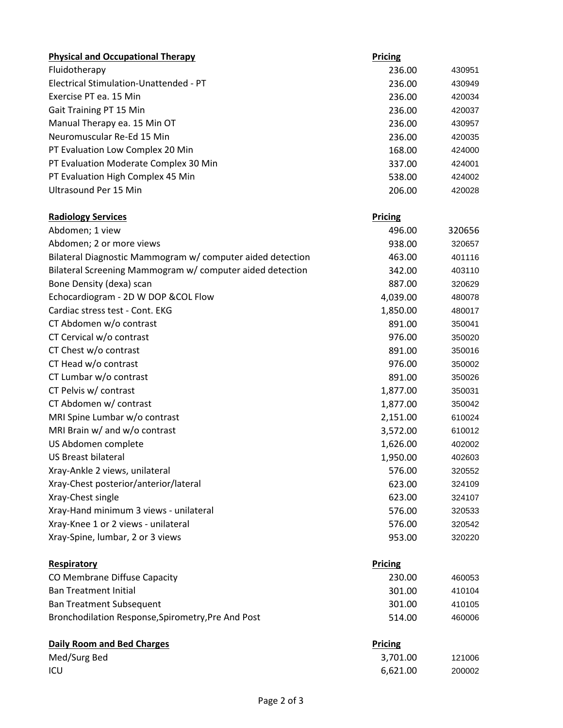| <b>Physical and Occupational Therapy</b>                   | Pricing        |        |
|------------------------------------------------------------|----------------|--------|
| Fluidotherapy                                              | 236.00         | 430951 |
| Electrical Stimulation-Unattended - PT                     | 236.00         | 430949 |
| Exercise PT ea. 15 Min                                     | 236.00         | 420034 |
| Gait Training PT 15 Min                                    | 236.00         | 420037 |
| Manual Therapy ea. 15 Min OT                               | 236.00         | 430957 |
| Neuromuscular Re-Ed 15 Min                                 | 236.00         | 420035 |
| PT Evaluation Low Complex 20 Min                           | 168.00         | 424000 |
| PT Evaluation Moderate Complex 30 Min                      | 337.00         | 424001 |
| PT Evaluation High Complex 45 Min                          | 538.00         | 424002 |
| Ultrasound Per 15 Min                                      | 206.00         | 420028 |
| <b>Radiology Services</b>                                  | <b>Pricing</b> |        |
| Abdomen; 1 view                                            | 496.00         | 320656 |
| Abdomen; 2 or more views                                   | 938.00         | 320657 |
| Bilateral Diagnostic Mammogram w/ computer aided detection | 463.00         | 401116 |
| Bilateral Screening Mammogram w/ computer aided detection  | 342.00         | 403110 |
| Bone Density (dexa) scan                                   | 887.00         | 320629 |
| Echocardiogram - 2D W DOP & COL Flow                       | 4,039.00       | 480078 |
| Cardiac stress test - Cont. EKG                            | 1,850.00       | 480017 |
| CT Abdomen w/o contrast                                    | 891.00         | 350041 |
| CT Cervical w/o contrast                                   | 976.00         | 350020 |
| CT Chest w/o contrast                                      | 891.00         | 350016 |
| CT Head w/o contrast                                       | 976.00         | 350002 |
| CT Lumbar w/o contrast                                     | 891.00         | 350026 |
| CT Pelvis w/ contrast                                      | 1,877.00       | 350031 |
| CT Abdomen w/ contrast                                     | 1,877.00       | 350042 |
| MRI Spine Lumbar w/o contrast                              | 2,151.00       | 610024 |
| MRI Brain w/ and w/o contrast                              | 3,572.00       | 610012 |
| US Abdomen complete                                        | 1,626.00       | 402002 |
| <b>US Breast bilateral</b>                                 | 1,950.00       | 402603 |
| Xray-Ankle 2 views, unilateral                             | 576.00         | 320552 |
| Xray-Chest posterior/anterior/lateral                      | 623.00         | 324109 |
| Xray-Chest single                                          | 623.00         | 324107 |
| Xray-Hand minimum 3 views - unilateral                     | 576.00         | 320533 |
| Xray-Knee 1 or 2 views - unilateral                        | 576.00         | 320542 |
| Xray-Spine, lumbar, 2 or 3 views                           | 953.00         | 320220 |
| Respiratory                                                | <b>Pricing</b> |        |
| CO Membrane Diffuse Capacity                               | 230.00         | 460053 |
| <b>Ban Treatment Initial</b>                               | 301.00         | 410104 |
| <b>Ban Treatment Subsequent</b>                            | 301.00         | 410105 |
| Bronchodilation Response, Spirometry, Pre And Post         | 514.00         | 460006 |
| <b>Daily Room and Bed Charges</b>                          | <b>Pricing</b> |        |
| Med/Surg Bed                                               | 3,701.00       | 121006 |
| ICU                                                        | 6,621.00       | 200002 |